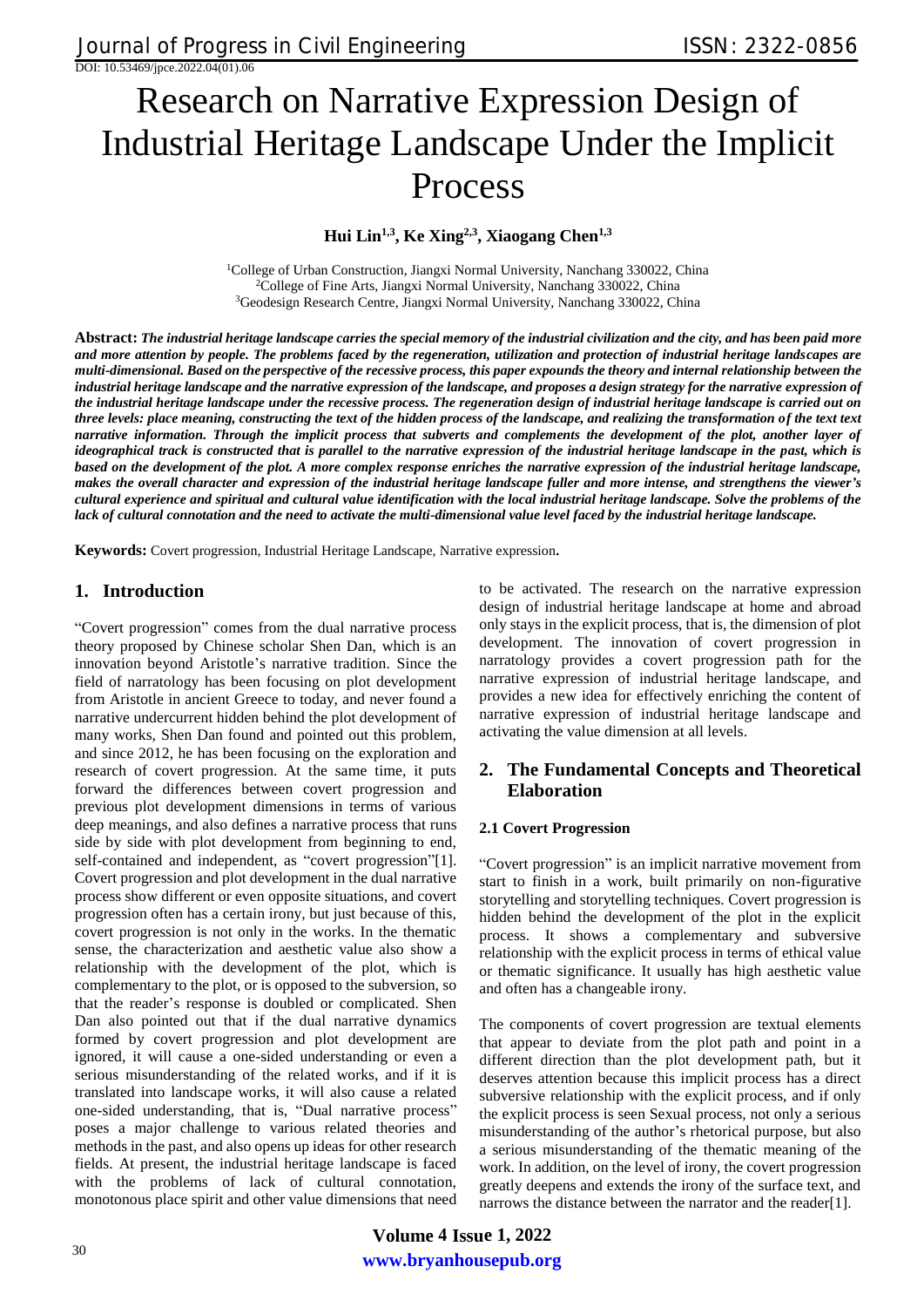# Research on Narrative Expression Design of Industrial Heritage Landscape Under the Implicit Process

**Hui Lin1,3, Ke Xing2,3, Xiaogang Chen1,3**

<sup>1</sup>College of Urban Construction, Jiangxi Normal University, Nanchang 330022, China <sup>2</sup>College of Fine Arts, Jiangxi Normal University, Nanchang 330022, China <sup>3</sup>Geodesign Research Centre, Jiangxi Normal University, Nanchang 330022, China

**Abstract:** *The industrial heritage landscape carries the special memory of the industrial civilization and the city, and has been paid more and more attention by people. The problems faced by the regeneration, utilization and protection of industrial heritage landscapes are multi-dimensional. Based on the perspective of the recessive process, this paper expounds the theory and internal relationship between the industrial heritage landscape and the narrative expression of the landscape, and proposes a design strategy for the narrative expression of the industrial heritage landscape under the recessive process. The regeneration design of industrial heritage landscape is carried out on three levels: place meaning, constructing the text of the hidden process of the landscape, and realizing the transformation of the text text narrative information. Through the implicit process that subverts and complements the development of the plot, another layer of ideographical track is constructed that is parallel to the narrative expression of the industrial heritage landscape in the past, which is based on the development of the plot. A more complex response enriches the narrative expression of the industrial heritage landscape, makes the overall character and expression of the industrial heritage landscape fuller and more intense, and strengthens the viewer's cultural experience and spiritual and cultural value identification with the local industrial heritage landscape. Solve the problems of the lack of cultural connotation and the need to activate the multi-dimensional value level faced by the industrial heritage landscape.*

**Keywords:** Covert progression, Industrial Heritage Landscape, Narrative expression**.** 

# **1. Introduction**

"Covert progression" comes from the dual narrative process theory proposed by Chinese scholar Shen Dan, which is an innovation beyond Aristotle's narrative tradition. Since the field of narratology has been focusing on plot development from Aristotle in ancient Greece to today, and never found a narrative undercurrent hidden behind the plot development of many works, Shen Dan found and pointed out this problem, and since 2012, he has been focusing on the exploration and research of covert progression. At the same time, it puts forward the differences between covert progression and previous plot development dimensions in terms of various deep meanings, and also defines a narrative process that runs side by side with plot development from beginning to end, self-contained and independent, as "covert progression"[1]. Covert progression and plot development in the dual narrative process show different or even opposite situations, and covert progression often has a certain irony, but just because of this, covert progression is not only in the works. In the thematic sense, the characterization and aesthetic value also show a relationship with the development of the plot, which is complementary to the plot, or is opposed to the subversion, so that the reader's response is doubled or complicated. Shen Dan also pointed out that if the dual narrative dynamics formed by covert progression and plot development are ignored, it will cause a one-sided understanding or even a serious misunderstanding of the related works, and if it is translated into landscape works, it will also cause a related one-sided understanding, that is, "Dual narrative process" poses a major challenge to various related theories and methods in the past, and also opens up ideas for other research fields. At present, the industrial heritage landscape is faced with the problems of lack of cultural connotation, monotonous place spirit and other value dimensions that need to be activated. The research on the narrative expression design of industrial heritage landscape at home and abroad only stays in the explicit process, that is, the dimension of plot development. The innovation of covert progression in narratology provides a covert progression path for the narrative expression of industrial heritage landscape, and provides a new idea for effectively enriching the content of narrative expression of industrial heritage landscape and activating the value dimension at all levels.

# **2. The Fundamental Concepts and Theoretical Elaboration**

#### **2.1 Covert Progression**

"Covert progression" is an implicit narrative movement from start to finish in a work, built primarily on non-figurative storytelling and storytelling techniques. Covert progression is hidden behind the development of the plot in the explicit process. It shows a complementary and subversive relationship with the explicit process in terms of ethical value or thematic significance. It usually has high aesthetic value and often has a changeable irony.

The components of covert progression are textual elements that appear to deviate from the plot path and point in a different direction than the plot development path, but it deserves attention because this implicit process has a direct subversive relationship with the explicit process, and if only the explicit process is seen Sexual process, not only a serious misunderstanding of the author's rhetorical purpose, but also a serious misunderstanding of the thematic meaning of the work. In addition, on the level of irony, the covert progression greatly deepens and extends the irony of the surface text, and narrows the distance between the narrator and the reader[1].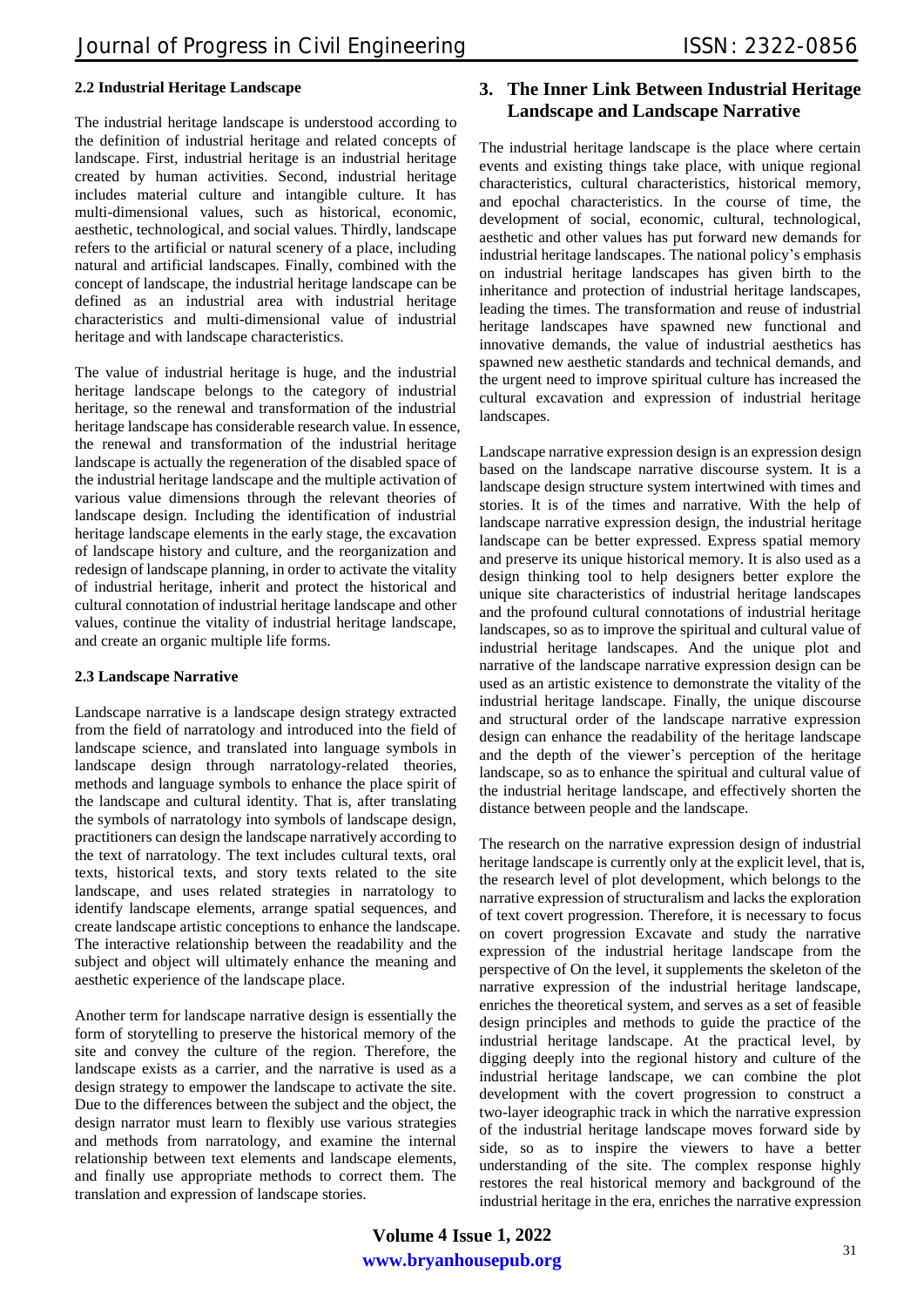#### **2.2 Industrial Heritage Landscape**

The industrial heritage landscape is understood according to the definition of industrial heritage and related concepts of landscape. First, industrial heritage is an industrial heritage created by human activities. Second, industrial heritage includes material culture and intangible culture. It has multi-dimensional values, such as historical, economic, aesthetic, technological, and social values. Thirdly, landscape refers to the artificial or natural scenery of a place, including natural and artificial landscapes. Finally, combined with the concept of landscape, the industrial heritage landscape can be defined as an industrial area with industrial heritage characteristics and multi-dimensional value of industrial heritage and with landscape characteristics.

The value of industrial heritage is huge, and the industrial heritage landscape belongs to the category of industrial heritage, so the renewal and transformation of the industrial heritage landscape has considerable research value. In essence, the renewal and transformation of the industrial heritage landscape is actually the regeneration of the disabled space of the industrial heritage landscape and the multiple activation of various value dimensions through the relevant theories of landscape design. Including the identification of industrial heritage landscape elements in the early stage, the excavation of landscape history and culture, and the reorganization and redesign of landscape planning, in order to activate the vitality of industrial heritage, inherit and protect the historical and cultural connotation of industrial heritage landscape and other values, continue the vitality of industrial heritage landscape, and create an organic multiple life forms.

#### **2.3 Landscape Narrative**

Landscape narrative is a landscape design strategy extracted from the field of narratology and introduced into the field of landscape science, and translated into language symbols in landscape design through narratology-related theories, methods and language symbols to enhance the place spirit of the landscape and cultural identity. That is, after translating the symbols of narratology into symbols of landscape design, practitioners can design the landscape narratively according to the text of narratology. The text includes cultural texts, oral texts, historical texts, and story texts related to the site landscape, and uses related strategies in narratology to identify landscape elements, arrange spatial sequences, and create landscape artistic conceptions to enhance the landscape. The interactive relationship between the readability and the subject and object will ultimately enhance the meaning and aesthetic experience of the landscape place.

Another term for landscape narrative design is essentially the form of storytelling to preserve the historical memory of the site and convey the culture of the region. Therefore, the landscape exists as a carrier, and the narrative is used as a design strategy to empower the landscape to activate the site. Due to the differences between the subject and the object, the design narrator must learn to flexibly use various strategies and methods from narratology, and examine the internal relationship between text elements and landscape elements, and finally use appropriate methods to correct them. The translation and expression of landscape stories.

# **3. The Inner Link Between Industrial Heritage Landscape and Landscape Narrative**

The industrial heritage landscape is the place where certain events and existing things take place, with unique regional characteristics, cultural characteristics, historical memory, and epochal characteristics. In the course of time, the development of social, economic, cultural, technological, aesthetic and other values has put forward new demands for industrial heritage landscapes. The national policy's emphasis on industrial heritage landscapes has given birth to the inheritance and protection of industrial heritage landscapes, leading the times. The transformation and reuse of industrial heritage landscapes have spawned new functional and innovative demands, the value of industrial aesthetics has spawned new aesthetic standards and technical demands, and the urgent need to improve spiritual culture has increased the cultural excavation and expression of industrial heritage landscapes.

Landscape narrative expression design is an expression design based on the landscape narrative discourse system. It is a landscape design structure system intertwined with times and stories. It is of the times and narrative. With the help of landscape narrative expression design, the industrial heritage landscape can be better expressed. Express spatial memory and preserve its unique historical memory. It is also used as a design thinking tool to help designers better explore the unique site characteristics of industrial heritage landscapes and the profound cultural connotations of industrial heritage landscapes, so as to improve the spiritual and cultural value of industrial heritage landscapes. And the unique plot and narrative of the landscape narrative expression design can be used as an artistic existence to demonstrate the vitality of the industrial heritage landscape. Finally, the unique discourse and structural order of the landscape narrative expression design can enhance the readability of the heritage landscape and the depth of the viewer's perception of the heritage landscape, so as to enhance the spiritual and cultural value of the industrial heritage landscape, and effectively shorten the distance between people and the landscape.

The research on the narrative expression design of industrial heritage landscape is currently only at the explicit level, that is, the research level of plot development, which belongs to the narrative expression of structuralism and lacks the exploration of text covert progression. Therefore, it is necessary to focus on covert progression Excavate and study the narrative expression of the industrial heritage landscape from the perspective of On the level, it supplements the skeleton of the narrative expression of the industrial heritage landscape, enriches the theoretical system, and serves as a set of feasible design principles and methods to guide the practice of the industrial heritage landscape. At the practical level, by digging deeply into the regional history and culture of the industrial heritage landscape, we can combine the plot development with the covert progression to construct a two-layer ideographic track in which the narrative expression of the industrial heritage landscape moves forward side by side, so as to inspire the viewers to have a better understanding of the site. The complex response highly restores the real historical memory and background of the industrial heritage in the era, enriches the narrative expression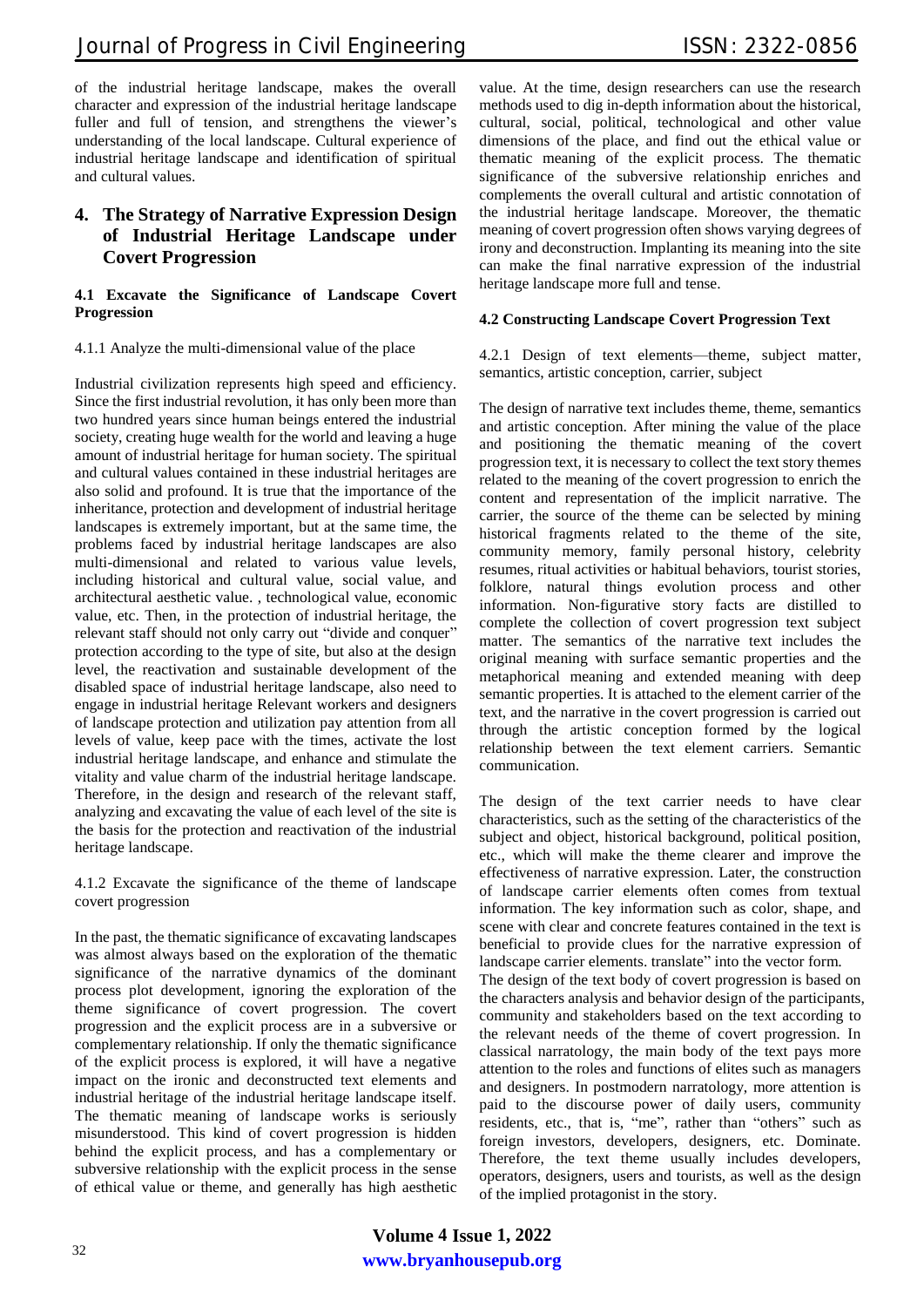of the industrial heritage landscape, makes the overall character and expression of the industrial heritage landscape fuller and full of tension, and strengthens the viewer's understanding of the local landscape. Cultural experience of industrial heritage landscape and identification of spiritual and cultural values.

# **4. The Strategy of Narrative Expression Design of Industrial Heritage Landscape under Covert Progression**

#### **4.1 Excavate the Significance of Landscape Covert Progression**

4.1.1 Analyze the multi-dimensional value of the place

Industrial civilization represents high speed and efficiency. Since the first industrial revolution, it has only been more than two hundred years since human beings entered the industrial society, creating huge wealth for the world and leaving a huge amount of industrial heritage for human society. The spiritual and cultural values contained in these industrial heritages are also solid and profound. It is true that the importance of the inheritance, protection and development of industrial heritage landscapes is extremely important, but at the same time, the problems faced by industrial heritage landscapes are also multi-dimensional and related to various value levels, including historical and cultural value, social value, and architectural aesthetic value. , technological value, economic value, etc. Then, in the protection of industrial heritage, the relevant staff should not only carry out "divide and conquer" protection according to the type of site, but also at the design level, the reactivation and sustainable development of the disabled space of industrial heritage landscape, also need to engage in industrial heritage Relevant workers and designers of landscape protection and utilization pay attention from all levels of value, keep pace with the times, activate the lost industrial heritage landscape, and enhance and stimulate the vitality and value charm of the industrial heritage landscape. Therefore, in the design and research of the relevant staff, analyzing and excavating the value of each level of the site is the basis for the protection and reactivation of the industrial heritage landscape.

4.1.2 Excavate the significance of the theme of landscape covert progression

In the past, the thematic significance of excavating landscapes was almost always based on the exploration of the thematic significance of the narrative dynamics of the dominant process plot development, ignoring the exploration of the theme significance of covert progression. The covert progression and the explicit process are in a subversive or complementary relationship. If only the thematic significance of the explicit process is explored, it will have a negative impact on the ironic and deconstructed text elements and industrial heritage of the industrial heritage landscape itself. The thematic meaning of landscape works is seriously misunderstood. This kind of covert progression is hidden behind the explicit process, and has a complementary or subversive relationship with the explicit process in the sense of ethical value or theme, and generally has high aesthetic

value. At the time, design researchers can use the research methods used to dig in-depth information about the historical, cultural, social, political, technological and other value dimensions of the place, and find out the ethical value or thematic meaning of the explicit process. The thematic significance of the subversive relationship enriches and complements the overall cultural and artistic connotation of the industrial heritage landscape. Moreover, the thematic meaning of covert progression often shows varying degrees of irony and deconstruction. Implanting its meaning into the site can make the final narrative expression of the industrial heritage landscape more full and tense.

## **4.2 Constructing Landscape Covert Progression Text**

4.2.1 Design of text elements—theme, subject matter, semantics, artistic conception, carrier, subject

The design of narrative text includes theme, theme, semantics and artistic conception. After mining the value of the place and positioning the thematic meaning of the covert progression text, it is necessary to collect the text story themes related to the meaning of the covert progression to enrich the content and representation of the implicit narrative. The carrier, the source of the theme can be selected by mining historical fragments related to the theme of the site, community memory, family personal history, celebrity resumes, ritual activities or habitual behaviors, tourist stories, folklore, natural things evolution process and other information. Non-figurative story facts are distilled to complete the collection of covert progression text subject matter. The semantics of the narrative text includes the original meaning with surface semantic properties and the metaphorical meaning and extended meaning with deep semantic properties. It is attached to the element carrier of the text, and the narrative in the covert progression is carried out through the artistic conception formed by the logical relationship between the text element carriers. Semantic communication.

The design of the text carrier needs to have clear characteristics, such as the setting of the characteristics of the subject and object, historical background, political position, etc., which will make the theme clearer and improve the effectiveness of narrative expression. Later, the construction of landscape carrier elements often comes from textual information. The key information such as color, shape, and scene with clear and concrete features contained in the text is beneficial to provide clues for the narrative expression of landscape carrier elements. translate" into the vector form.

The design of the text body of covert progression is based on the characters analysis and behavior design of the participants, community and stakeholders based on the text according to the relevant needs of the theme of covert progression. In classical narratology, the main body of the text pays more attention to the roles and functions of elites such as managers and designers. In postmodern narratology, more attention is paid to the discourse power of daily users, community residents, etc., that is, "me", rather than "others" such as foreign investors, developers, designers, etc. Dominate. Therefore, the text theme usually includes developers, operators, designers, users and tourists, as well as the design of the implied protagonist in the story.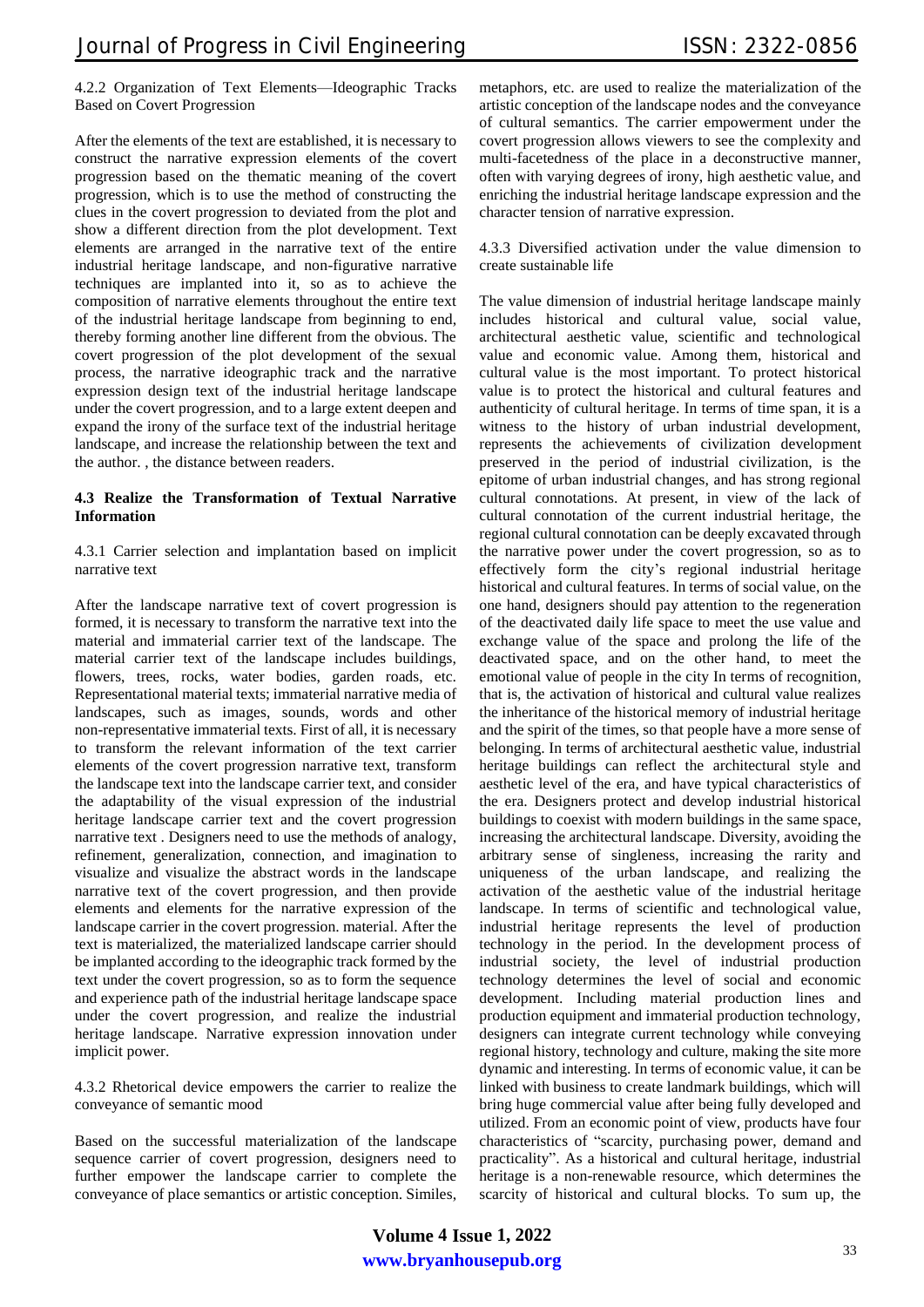#### 4.2.2 Organization of Text Elements—Ideographic Tracks Based on Covert Progression

After the elements of the text are established, it is necessary to construct the narrative expression elements of the covert progression based on the thematic meaning of the covert progression, which is to use the method of constructing the clues in the covert progression to deviated from the plot and show a different direction from the plot development. Text elements are arranged in the narrative text of the entire industrial heritage landscape, and non-figurative narrative techniques are implanted into it, so as to achieve the composition of narrative elements throughout the entire text of the industrial heritage landscape from beginning to end, thereby forming another line different from the obvious. The covert progression of the plot development of the sexual process, the narrative ideographic track and the narrative expression design text of the industrial heritage landscape under the covert progression, and to a large extent deepen and expand the irony of the surface text of the industrial heritage landscape, and increase the relationship between the text and the author. , the distance between readers.

#### **4.3 Realize the Transformation of Textual Narrative Information**

4.3.1 Carrier selection and implantation based on implicit narrative text

After the landscape narrative text of covert progression is formed, it is necessary to transform the narrative text into the material and immaterial carrier text of the landscape. The material carrier text of the landscape includes buildings, flowers, trees, rocks, water bodies, garden roads, etc. Representational material texts; immaterial narrative media of landscapes, such as images, sounds, words and other non-representative immaterial texts. First of all, it is necessary to transform the relevant information of the text carrier elements of the covert progression narrative text, transform the landscape text into the landscape carrier text, and consider the adaptability of the visual expression of the industrial heritage landscape carrier text and the covert progression narrative text . Designers need to use the methods of analogy, refinement, generalization, connection, and imagination to visualize and visualize the abstract words in the landscape narrative text of the covert progression, and then provide elements and elements for the narrative expression of the landscape carrier in the covert progression. material. After the text is materialized, the materialized landscape carrier should be implanted according to the ideographic track formed by the text under the covert progression, so as to form the sequence and experience path of the industrial heritage landscape space under the covert progression, and realize the industrial heritage landscape. Narrative expression innovation under implicit power.

4.3.2 Rhetorical device empowers the carrier to realize the conveyance of semantic mood

Based on the successful materialization of the landscape sequence carrier of covert progression, designers need to further empower the landscape carrier to complete the conveyance of place semantics or artistic conception. Similes,

metaphors, etc. are used to realize the materialization of the artistic conception of the landscape nodes and the conveyance of cultural semantics. The carrier empowerment under the covert progression allows viewers to see the complexity and multi-facetedness of the place in a deconstructive manner, often with varying degrees of irony, high aesthetic value, and enriching the industrial heritage landscape expression and the character tension of narrative expression.

4.3.3 Diversified activation under the value dimension to create sustainable life

The value dimension of industrial heritage landscape mainly includes historical and cultural value, social value, architectural aesthetic value, scientific and technological value and economic value. Among them, historical and cultural value is the most important. To protect historical value is to protect the historical and cultural features and authenticity of cultural heritage. In terms of time span, it is a witness to the history of urban industrial development, represents the achievements of civilization development preserved in the period of industrial civilization, is the epitome of urban industrial changes, and has strong regional cultural connotations. At present, in view of the lack of cultural connotation of the current industrial heritage, the regional cultural connotation can be deeply excavated through the narrative power under the covert progression, so as to effectively form the city's regional industrial heritage historical and cultural features. In terms of social value, on the one hand, designers should pay attention to the regeneration of the deactivated daily life space to meet the use value and exchange value of the space and prolong the life of the deactivated space, and on the other hand, to meet the emotional value of people in the city In terms of recognition, that is, the activation of historical and cultural value realizes the inheritance of the historical memory of industrial heritage and the spirit of the times, so that people have a more sense of belonging. In terms of architectural aesthetic value, industrial heritage buildings can reflect the architectural style and aesthetic level of the era, and have typical characteristics of the era. Designers protect and develop industrial historical buildings to coexist with modern buildings in the same space, increasing the architectural landscape. Diversity, avoiding the arbitrary sense of singleness, increasing the rarity and uniqueness of the urban landscape, and realizing the activation of the aesthetic value of the industrial heritage landscape. In terms of scientific and technological value, industrial heritage represents the level of production technology in the period. In the development process of industrial society, the level of industrial production technology determines the level of social and economic development. Including material production lines and production equipment and immaterial production technology, designers can integrate current technology while conveying regional history, technology and culture, making the site more dynamic and interesting. In terms of economic value, it can be linked with business to create landmark buildings, which will bring huge commercial value after being fully developed and utilized. From an economic point of view, products have four characteristics of "scarcity, purchasing power, demand and practicality". As a historical and cultural heritage, industrial heritage is a non-renewable resource, which determines the scarcity of historical and cultural blocks. To sum up, the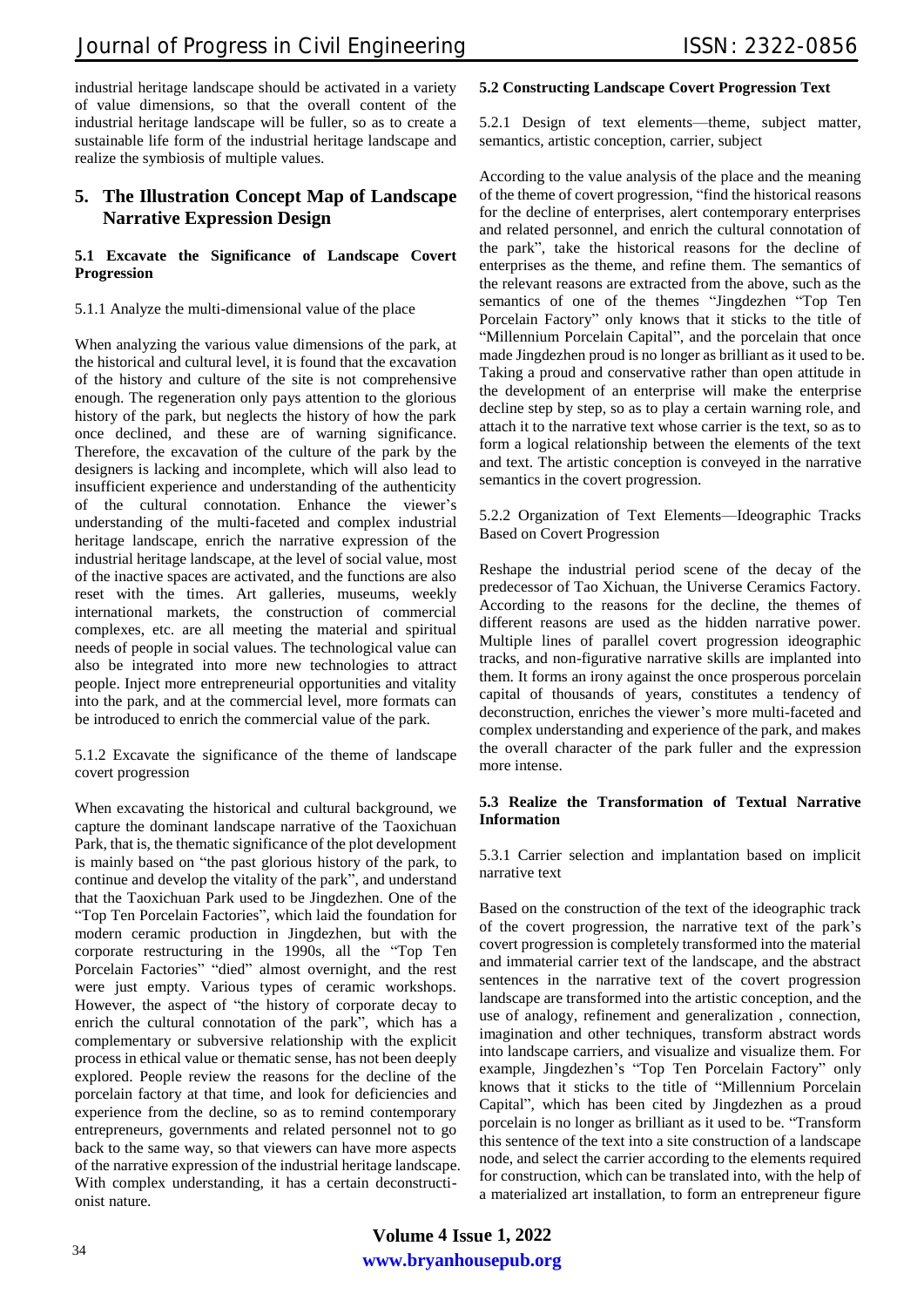industrial heritage landscape should be activated in a variety of value dimensions, so that the overall content of the industrial heritage landscape will be fuller, so as to create a sustainable life form of the industrial heritage landscape and realize the symbiosis of multiple values.

# **5. The Illustration Concept Map of Landscape Narrative Expression Design**

#### **5.1 Excavate the Significance of Landscape Covert Progression**

5.1.1 Analyze the multi-dimensional value of the place

When analyzing the various value dimensions of the park, at the historical and cultural level, it is found that the excavation of the history and culture of the site is not comprehensive enough. The regeneration only pays attention to the glorious history of the park, but neglects the history of how the park once declined, and these are of warning significance. Therefore, the excavation of the culture of the park by the designers is lacking and incomplete, which will also lead to insufficient experience and understanding of the authenticity of the cultural connotation. Enhance the viewer's understanding of the multi-faceted and complex industrial heritage landscape, enrich the narrative expression of the industrial heritage landscape, at the level of social value, most of the inactive spaces are activated, and the functions are also reset with the times. Art galleries, museums, weekly international markets, the construction of commercial complexes, etc. are all meeting the material and spiritual needs of people in social values. The technological value can also be integrated into more new technologies to attract people. Inject more entrepreneurial opportunities and vitality into the park, and at the commercial level, more formats can be introduced to enrich the commercial value of the park.

5.1.2 Excavate the significance of the theme of landscape covert progression

When excavating the historical and cultural background, we capture the dominant landscape narrative of the Taoxichuan Park, that is, the thematic significance of the plot development is mainly based on "the past glorious history of the park, to continue and develop the vitality of the park", and understand that the Taoxichuan Park used to be Jingdezhen. One of the "Top Ten Porcelain Factories", which laid the foundation for modern ceramic production in Jingdezhen, but with the corporate restructuring in the 1990s, all the "Top Ten Porcelain Factories" "died" almost overnight, and the rest were just empty. Various types of ceramic workshops. However, the aspect of "the history of corporate decay to enrich the cultural connotation of the park", which has a complementary or subversive relationship with the explicit process in ethical value or thematic sense, has not been deeply explored. People review the reasons for the decline of the porcelain factory at that time, and look for deficiencies and experience from the decline, so as to remind contemporary entrepreneurs, governments and related personnel not to go back to the same way, so that viewers can have more aspects of the narrative expression of the industrial heritage landscape. With complex understanding, it has a certain deconstructionist nature.

## **5.2 Constructing Landscape Covert Progression Text**

5.2.1 Design of text elements—theme, subject matter, semantics, artistic conception, carrier, subject

According to the value analysis of the place and the meaning of the theme of covert progression, "find the historical reasons for the decline of enterprises, alert contemporary enterprises and related personnel, and enrich the cultural connotation of the park", take the historical reasons for the decline of enterprises as the theme, and refine them. The semantics of the relevant reasons are extracted from the above, such as the semantics of one of the themes "Jingdezhen "Top Ten Porcelain Factory" only knows that it sticks to the title of "Millennium Porcelain Capital", and the porcelain that once made Jingdezhen proud is no longer as brilliant as it used to be. Taking a proud and conservative rather than open attitude in the development of an enterprise will make the enterprise decline step by step, so as to play a certain warning role, and attach it to the narrative text whose carrier is the text, so as to form a logical relationship between the elements of the text and text. The artistic conception is conveyed in the narrative semantics in the covert progression.

5.2.2 Organization of Text Elements—Ideographic Tracks Based on Covert Progression

Reshape the industrial period scene of the decay of the predecessor of Tao Xichuan, the Universe Ceramics Factory. According to the reasons for the decline, the themes of different reasons are used as the hidden narrative power. Multiple lines of parallel covert progression ideographic tracks, and non-figurative narrative skills are implanted into them. It forms an irony against the once prosperous porcelain capital of thousands of years, constitutes a tendency of deconstruction, enriches the viewer's more multi-faceted and complex understanding and experience of the park, and makes the overall character of the park fuller and the expression more intense.

#### **5.3 Realize the Transformation of Textual Narrative Information**

5.3.1 Carrier selection and implantation based on implicit narrative text

Based on the construction of the text of the ideographic track of the covert progression, the narrative text of the park's covert progression is completely transformed into the material and immaterial carrier text of the landscape, and the abstract sentences in the narrative text of the covert progression landscape are transformed into the artistic conception, and the use of analogy, refinement and generalization , connection, imagination and other techniques, transform abstract words into landscape carriers, and visualize and visualize them. For example, Jingdezhen's "Top Ten Porcelain Factory" only knows that it sticks to the title of "Millennium Porcelain Capital", which has been cited by Jingdezhen as a proud porcelain is no longer as brilliant as it used to be. "Transform this sentence of the text into a site construction of a landscape node, and select the carrier according to the elements required for construction, which can be translated into, with the help of a materialized art installation, to form an entrepreneur figure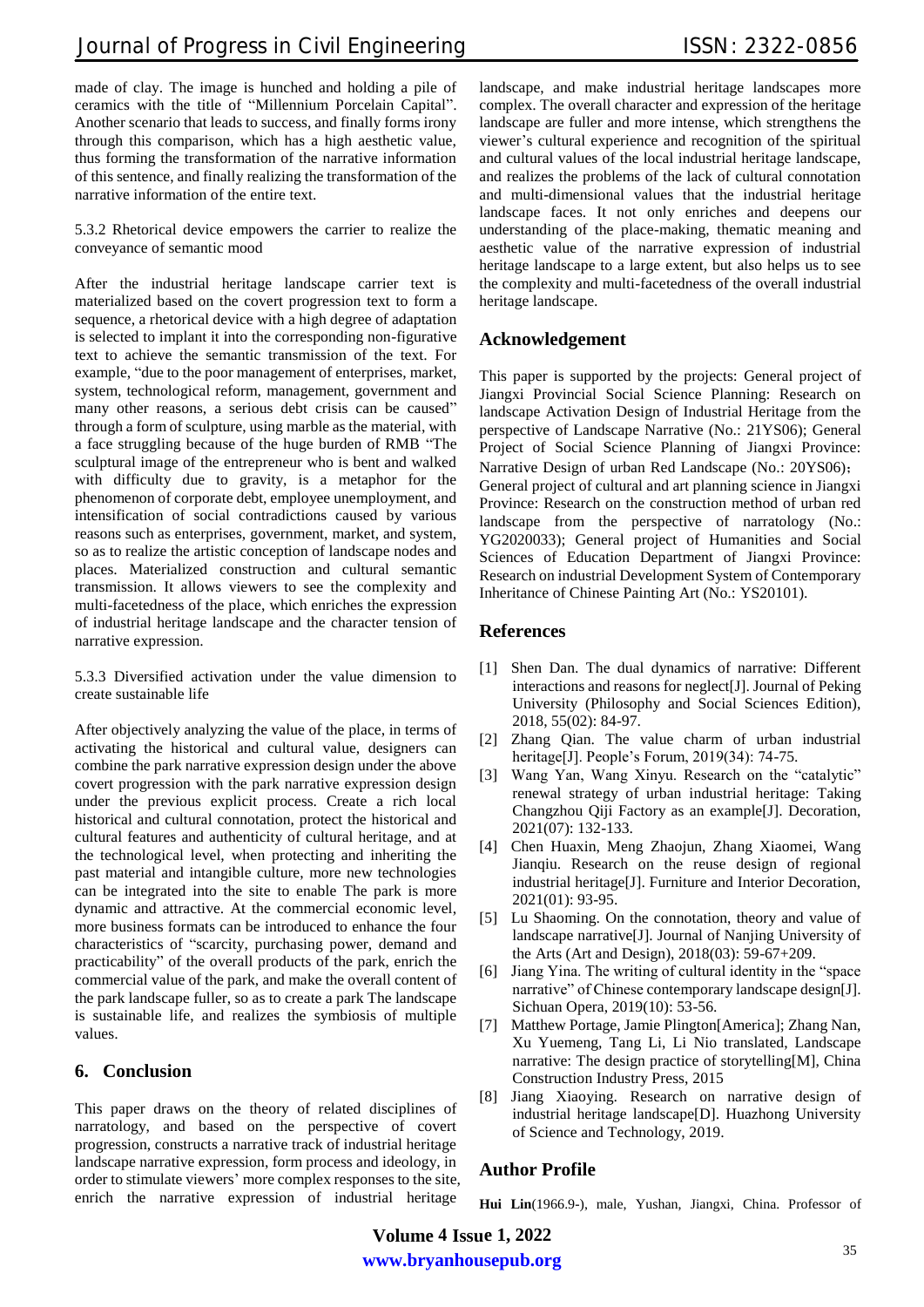made of clay. The image is hunched and holding a pile of ceramics with the title of "Millennium Porcelain Capital". Another scenario that leads to success, and finally forms irony through this comparison, which has a high aesthetic value, thus forming the transformation of the narrative information of this sentence, and finally realizing the transformation of the narrative information of the entire text.

5.3.2 Rhetorical device empowers the carrier to realize the conveyance of semantic mood

After the industrial heritage landscape carrier text is materialized based on the covert progression text to form a sequence, a rhetorical device with a high degree of adaptation is selected to implant it into the corresponding non-figurative text to achieve the semantic transmission of the text. For example, "due to the poor management of enterprises, market, system, technological reform, management, government and many other reasons, a serious debt crisis can be caused" through a form of sculpture, using marble as the material, with a face struggling because of the huge burden of RMB "The sculptural image of the entrepreneur who is bent and walked with difficulty due to gravity, is a metaphor for the phenomenon of corporate debt, employee unemployment, and intensification of social contradictions caused by various reasons such as enterprises, government, market, and system, so as to realize the artistic conception of landscape nodes and places. Materialized construction and cultural semantic transmission. It allows viewers to see the complexity and multi-facetedness of the place, which enriches the expression of industrial heritage landscape and the character tension of narrative expression.

5.3.3 Diversified activation under the value dimension to create sustainable life

After objectively analyzing the value of the place, in terms of activating the historical and cultural value, designers can combine the park narrative expression design under the above covert progression with the park narrative expression design under the previous explicit process. Create a rich local historical and cultural connotation, protect the historical and cultural features and authenticity of cultural heritage, and at the technological level, when protecting and inheriting the past material and intangible culture, more new technologies can be integrated into the site to enable The park is more dynamic and attractive. At the commercial economic level, more business formats can be introduced to enhance the four characteristics of "scarcity, purchasing power, demand and practicability" of the overall products of the park, enrich the commercial value of the park, and make the overall content of the park landscape fuller, so as to create a park The landscape is sustainable life, and realizes the symbiosis of multiple values.

## **6. Conclusion**

This paper draws on the theory of related disciplines of narratology, and based on the perspective of covert progression, constructs a narrative track of industrial heritage landscape narrative expression, form process and ideology, in order to stimulate viewers' more complex responses to the site, enrich the narrative expression of industrial heritage

landscape, and make industrial heritage landscapes more complex. The overall character and expression of the heritage landscape are fuller and more intense, which strengthens the viewer's cultural experience and recognition of the spiritual and cultural values of the local industrial heritage landscape, and realizes the problems of the lack of cultural connotation and multi-dimensional values that the industrial heritage landscape faces. It not only enriches and deepens our understanding of the place-making, thematic meaning and aesthetic value of the narrative expression of industrial heritage landscape to a large extent, but also helps us to see the complexity and multi-facetedness of the overall industrial heritage landscape.

# **Acknowledgement**

This paper is supported by the projects: General project of Jiangxi Provincial Social Science Planning: Research on landscape Activation Design of Industrial Heritage from the perspective of Landscape Narrative (No.: 21YS06); General Project of Social Science Planning of Jiangxi Province: Narrative Design of urban Red Landscape (No.: 20YS06); General project of cultural and art planning science in Jiangxi Province: Research on the construction method of urban red landscape from the perspective of narratology (No.: YG2020033); General project of Humanities and Social Sciences of Education Department of Jiangxi Province: Research on industrial Development System of Contemporary Inheritance of Chinese Painting Art (No.: YS20101).

## **References**

- [1] Shen Dan. The dual dynamics of narrative: Different interactions and reasons for neglect[J]. Journal of Peking University (Philosophy and Social Sciences Edition), 2018, 55(02): 84-97.
- [2] Zhang Qian. The value charm of urban industrial heritage[J]. People's Forum, 2019(34): 74-75.
- [3] Wang Yan, Wang Xinyu. Research on the "catalytic" renewal strategy of urban industrial heritage: Taking Changzhou Qiji Factory as an example[J]. Decoration, 2021(07): 132-133.
- [4] Chen Huaxin, Meng Zhaojun, Zhang Xiaomei, Wang Jianqiu. Research on the reuse design of regional industrial heritage[J]. Furniture and Interior Decoration, 2021(01): 93-95.
- [5] Lu Shaoming. On the connotation, theory and value of landscape narrative[J]. Journal of Nanjing University of the Arts (Art and Design), 2018(03): 59-67+209.
- [6] Jiang Yina. The writing of cultural identity in the "space narrative" of Chinese contemporary landscape design[J]. Sichuan Opera, 2019(10): 53-56.
- [7] Matthew Portage, Jamie Plington[America]; Zhang Nan, Xu Yuemeng, Tang Li, Li Nio translated, Landscape narrative: The design practice of storytelling[M], China Construction Industry Press, 2015
- [8] Jiang Xiaoying. Research on narrative design of industrial heritage landscape[D]. Huazhong University of Science and Technology, 2019.

# **Author Profile**

**Hui Lin**(1966.9-), male, Yushan, Jiangxi, China. Professor of